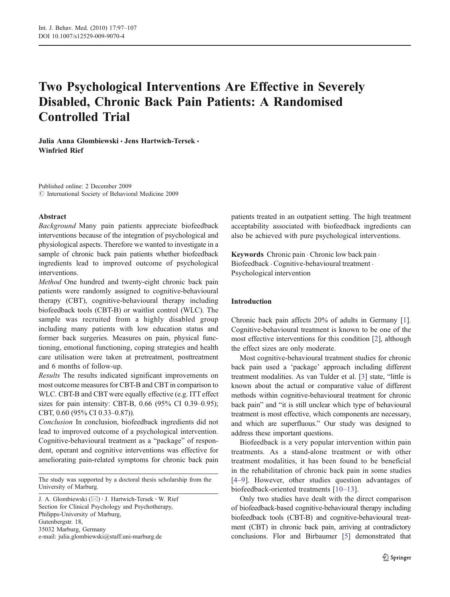# Two Psychological Interventions Are Effective in Severely Disabled, Chronic Back Pain Patients: A Randomised Controlled Trial

Julia Anna Glombiewski · Jens Hartwich-Tersek · Winfried Rief

Published online: 2 December 2009  $\odot$  International Society of Behavioral Medicine 2009

## Abstract

Background Many pain patients appreciate biofeedback interventions because of the integration of psychological and physiological aspects. Therefore we wanted to investigate in a sample of chronic back pain patients whether biofeedback ingredients lead to improved outcome of psychological interventions.

Method One hundred and twenty-eight chronic back pain patients were randomly assigned to cognitive-behavioural therapy (CBT), cognitive-behavioural therapy including biofeedback tools (CBT-B) or waitlist control (WLC). The sample was recruited from a highly disabled group including many patients with low education status and former back surgeries. Measures on pain, physical functioning, emotional functioning, coping strategies and health care utilisation were taken at pretreatment, posttreatment and 6 months of follow-up.

Results The results indicated significant improvements on most outcome measures for CBT-B and CBT in comparison to WLC. CBT-B and CBT were equally effective (e.g. ITT effect sizes for pain intensity: CBT-B, 0.66 (95% CI 0.39–0.95); CBT, 0.60 (95% CI 0.33–0.87)).

Conclusion In conclusion, biofeedback ingredients did not lead to improved outcome of a psychological intervention. Cognitive-behavioural treatment as a "package" of respondent, operant and cognitive interventions was effective for ameliorating pain-related symptoms for chronic back pain

The study was supported by a doctoral thesis scholarship from the University of Marburg.

J. A. Glombiewski ( $\boxtimes$ ) · J. Hartwich-Tersek · W. Rief Section for Clinical Psychology and Psychotherapy, Philipps-University of Marburg, Gutenbergstr. 18, 35032 Marburg, Germany e-mail: julia.glombiewski@staff.uni-marburg.de

patients treated in an outpatient setting. The high treatment acceptability associated with biofeedback ingredients can also be achieved with pure psychological interventions.

Keywords Chronic pain . Chronic low back pain . Biofeedback . Cognitive-behavioural treatment . Psychological intervention

# Introduction

Chronic back pain affects 20% of adults in Germany [1]. Cognitive-behavioural treatment is known to be one of the most effective interventions for this condition [2], although the effect sizes are only moderate.

Most cognitive-behavioural treatment studies for chronic back pain used a 'package' approach including different treatment modalities. As van Tulder et al. [3] state, "little is known about the actual or comparative value of different methods within cognitive-behavioural treatment for chronic back pain" and "it is still unclear which type of behavioural treatment is most effective, which components are necessary, and which are superfluous." Our study was designed to address these important questions.

Biofeedback is a very popular intervention within pain treatments. As a stand-alone treatment or with other treatment modalities, it has been found to be beneficial in the rehabilitation of chronic back pain in some studies [4–9]. However, other studies question advantages of biofeedback-oriented treatments [10–13].

Only two studies have dealt with the direct comparison of biofeedback-based cognitive-behavioural therapy including biofeedback tools (CBT-B) and cognitive-behavioural treatment (CBT) in chronic back pain, arriving at contradictory conclusions. Flor and Birbaumer [5] demonstrated that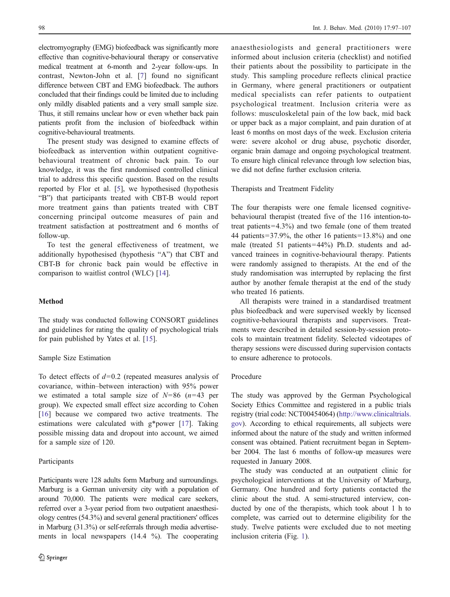electromyography (EMG) biofeedback was significantly more effective than cognitive-behavioural therapy or conservative medical treatment at 6-month and 2-year follow-ups. In contrast, Newton-John et al. [7] found no significant difference between CBT and EMG biofeedback. The authors concluded that their findings could be limited due to including only mildly disabled patients and a very small sample size. Thus, it still remains unclear how or even whether back pain patients profit from the inclusion of biofeedback within cognitive-behavioural treatments.

The present study was designed to examine effects of biofeedback as intervention within outpatient cognitivebehavioural treatment of chronic back pain. To our knowledge, it was the first randomised controlled clinical trial to address this specific question. Based on the results reported by Flor et al. [5], we hypothesised (hypothesis "B") that participants treated with CBT-B would report more treatment gains than patients treated with CBT concerning principal outcome measures of pain and treatment satisfaction at posttreatment and 6 months of follow-up.

To test the general effectiveness of treatment, we additionally hypothesised (hypothesis "A") that CBT and CBT-B for chronic back pain would be effective in comparison to waitlist control (WLC) [14].

# Method

The study was conducted following CONSORT guidelines and guidelines for rating the quality of psychological trials for pain published by Yates et al. [15].

#### Sample Size Estimation

To detect effects of  $d=0.2$  (repeated measures analysis of covariance, within–between interaction) with 95% power we estimated a total sample size of  $N=86$  ( $n=43$  per group). We expected small effect size according to Cohen [16] because we compared two active treatments. The estimations were calculated with g\*power [17]. Taking possible missing data and dropout into account, we aimed for a sample size of 120.

## Participants

Participants were 128 adults form Marburg and surroundings. Marburg is a German university city with a population of around 70,000. The patients were medical care seekers, referred over a 3-year period from two outpatient anaesthesiology centres (54.3%) and several general practitioners' offices in Marburg (31.3%) or self-referrals through media advertisements in local newspapers (14.4 %). The cooperating

anaesthesiologists and general practitioners were informed about inclusion criteria (checklist) and notified their patients about the possibility to participate in the study. This sampling procedure reflects clinical practice in Germany, where general practitioners or outpatient medical specialists can refer patients to outpatient psychological treatment. Inclusion criteria were as follows: musculoskeletal pain of the low back, mid back or upper back as a major complaint, and pain duration of at least 6 months on most days of the week. Exclusion criteria were: severe alcohol or drug abuse, psychotic disorder, organic brain damage and ongoing psychological treatment. To ensure high clinical relevance through low selection bias, we did not define further exclusion criteria.

Therapists and Treatment Fidelity

The four therapists were one female licensed cognitivebehavioural therapist (treated five of the 116 intention-totreat patients=4.3%) and two female (one of them treated 44 patients=37.9%, the other 16 patients=13.8%) and one male (treated 51 patients=44%) Ph.D. students and advanced trainees in cognitive-behavioural therapy. Patients were randomly assigned to therapists. At the end of the study randomisation was interrupted by replacing the first author by another female therapist at the end of the study who treated 16 patients.

All therapists were trained in a standardised treatment plus biofeedback and were supervised weekly by licensed cognitive-behavioural therapists and supervisors. Treatments were described in detailed session-by-session protocols to maintain treatment fidelity. Selected videotapes of therapy sessions were discussed during supervision contacts to ensure adherence to protocols.

### Procedure

The study was approved by the German Psychological Society Ethics Committee and registered in a public trials registry (trial code: NCT00454064) ([http://www.clinicaltrials.](http://www.clinicaltrials.gov) [gov\)](http://www.clinicaltrials.gov). According to ethical requirements, all subjects were informed about the nature of the study and written informed consent was obtained. Patient recruitment began in September 2004. The last 6 months of follow-up measures were requested in January 2008.

The study was conducted at an outpatient clinic for psychological interventions at the University of Marburg, Germany. One hundred and forty patients contacted the clinic about the stud. A semi-structured interview, conducted by one of the therapists, which took about 1 h to complete, was carried out to determine eligibility for the study. Twelve patients were excluded due to not meeting inclusion criteria (Fig. 1).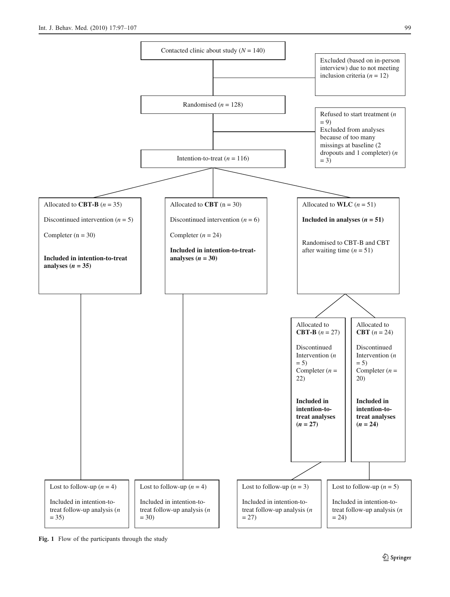

Fig. 1 Flow of the participants through the study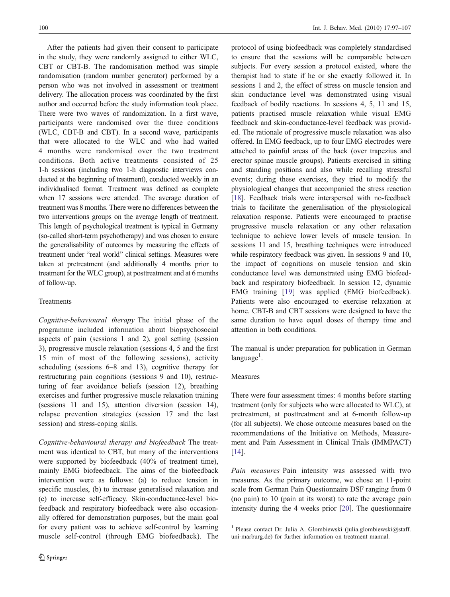After the patients had given their consent to participate in the study, they were randomly assigned to either WLC, CBT or CBT-B. The randomisation method was simple randomisation (random number generator) performed by a person who was not involved in assessment or treatment delivery. The allocation process was coordinated by the first author and occurred before the study information took place. There were two waves of randomization. In a first wave, participants were randomised over the three conditions (WLC, CBT-B and CBT). In a second wave, participants that were allocated to the WLC and who had waited 4 months were randomised over the two treatment conditions. Both active treatments consisted of 25 1-h sessions (including two 1-h diagnostic interviews conducted at the beginning of treatment), conducted weekly in an individualised format. Treatment was defined as complete when 17 sessions were attended. The average duration of treatment was 8 months. There were no differences between the two interventions groups on the average length of treatment. This length of psychological treatment is typical in Germany (so-called short-term psychotherapy) and was chosen to ensure the generalisability of outcomes by measuring the effects of treatment under "real world" clinical settings. Measures were taken at pretreatment (and additionally 4 months prior to treatment for the WLC group), at posttreatment and at 6 months of follow-up.

# Treatments

Cognitive-behavioural therapy The initial phase of the programme included information about biopsychosocial aspects of pain (sessions 1 and 2), goal setting (session 3), progressive muscle relaxation (sessions 4, 5 and the first 15 min of most of the following sessions), activity scheduling (sessions 6–8 and 13), cognitive therapy for restructuring pain cognitions (sessions 9 and 10), restructuring of fear avoidance beliefs (session 12), breathing exercises and further progressive muscle relaxation training (sessions 11 and 15), attention diversion (session 14), relapse prevention strategies (session 17 and the last session) and stress-coping skills.

Cognitive-behavioural therapy and biofeedback The treatment was identical to CBT, but many of the interventions were supported by biofeedback (40% of treatment time), mainly EMG biofeedback. The aims of the biofeedback intervention were as follows: (a) to reduce tension in specific muscles, (b) to increase generalised relaxation and (c) to increase self-efficacy. Skin-conductance-level biofeedback and respiratory biofeedback were also occasionally offered for demonstration purposes, but the main goal for every patient was to achieve self-control by learning muscle self-control (through EMG biofeedback). The

protocol of using biofeedback was completely standardised to ensure that the sessions will be comparable between subjects. For every session a protocol existed, where the therapist had to state if he or she exactly followed it. In sessions 1 and 2, the effect of stress on muscle tension and skin conductance level was demonstrated using visual feedback of bodily reactions. In sessions 4, 5, 11 and 15, patients practised muscle relaxation while visual EMG feedback and skin-conductance-level feedback was provided. The rationale of progressive muscle relaxation was also offered. In EMG feedback, up to four EMG electrodes were attached to painful areas of the back (over trapezius and erector spinae muscle groups). Patients exercised in sitting and standing positions and also while recalling stressful events; during these exercises, they tried to modify the physiological changes that accompanied the stress reaction [18]. Feedback trials were interspersed with no-feedback trials to facilitate the generalisation of the physiological relaxation response. Patients were encouraged to practise progressive muscle relaxation or any other relaxation technique to achieve lower levels of muscle tension. In sessions 11 and 15, breathing techniques were introduced while respiratory feedback was given. In sessions 9 and 10, the impact of cognitions on muscle tension and skin conductance level was demonstrated using EMG biofeedback and respiratory biofeedback. In session 12, dynamic EMG training [19] was applied (EMG biofeedback). Patients were also encouraged to exercise relaxation at home. CBT-B and CBT sessions were designed to have the same duration to have equal doses of therapy time and attention in both conditions.

The manual is under preparation for publication in German language<sup>1</sup>.

### Measures

There were four assessment times: 4 months before starting treatment (only for subjects who were allocated to WLC), at pretreatment, at posttreatment and at 6-month follow-up (for all subjects). We chose outcome measures based on the recommendations of the Initiative on Methods, Measurement and Pain Assessment in Clinical Trials (IMMPACT) [14].

Pain measures Pain intensity was assessed with two measures. As the primary outcome, we chose an 11-point scale from German Pain Questionnaire DSF ranging from 0 (no pain) to 10 (pain at its worst) to rate the average pain intensity during the 4 weeks prior [20]. The questionnaire

<sup>&</sup>lt;sup>1</sup> Please contact Dr. Julia A. Glombiewski (julia.glombiewski@staff. uni-marburg.de) for further information on treatment manual.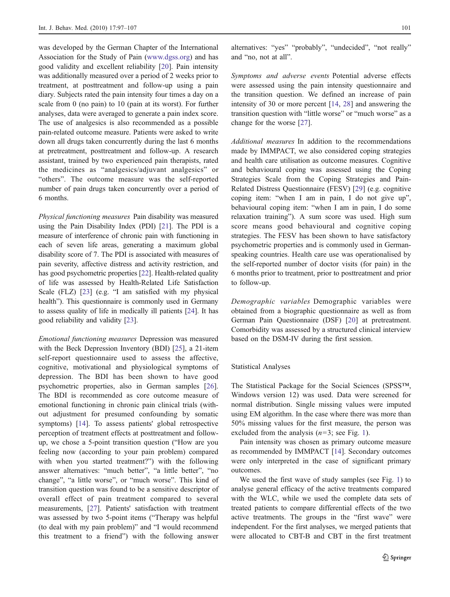was developed by the German Chapter of the International Association for the Study of Pain ([www.dgss.org](http://www.dgss.org)) and has good validity and excellent reliability [20]. Pain intensity was additionally measured over a period of 2 weeks prior to treatment, at posttreatment and follow-up using a pain diary. Subjects rated the pain intensity four times a day on a scale from 0 (no pain) to 10 (pain at its worst). For further analyses, data were averaged to generate a pain index score. The use of analgesics is also recommended as a possible pain-related outcome measure. Patients were asked to write down all drugs taken concurrently during the last 6 months at pretreatment, posttreatment and follow-up. A research assistant, trained by two experienced pain therapists, rated the medicines as "analgesics/adjuvant analgesics" or "others". The outcome measure was the self-reported number of pain drugs taken concurrently over a period of 6 months.

Physical functioning measures Pain disability was measured using the Pain Disability Index (PDI) [21]. The PDI is a measure of interference of chronic pain with functioning in each of seven life areas, generating a maximum global disability score of 7. The PDI is associated with measures of pain severity, affective distress and activity restriction, and has good psychometric properties [22]. Health-related quality of life was assessed by Health-Related Life Satisfaction Scale (FLZ) [23] (e.g. "I am satisfied with my physical health"). This questionnaire is commonly used in Germany to assess quality of life in medically ill patients [24]. It has good reliability and validity [23].

Emotional functioning measures Depression was measured with the Beck Depression Inventory (BDI) [25], a 21-item self-report questionnaire used to assess the affective, cognitive, motivational and physiological symptoms of depression. The BDI has been shown to have good psychometric properties, also in German samples [26]. The BDI is recommended as core outcome measure of emotional functioning in chronic pain clinical trials (without adjustment for presumed confounding by somatic symptoms) [14]. To assess patients' global retrospective perception of treatment effects at posttreatment and followup, we chose a 5-point transition question ("How are you feeling now (according to your pain problem) compared with when you started treatment?") with the following answer alternatives: "much better", "a little better", "no change", "a little worse", or "much worse". This kind of transition question was found to be a sensitive descriptor of overall effect of pain treatment compared to several measurements, [27]. Patients' satisfaction with treatment was assessed by two 5-point items ("Therapy was helpful (to deal with my pain problem)" and "I would recommend this treatment to a friend") with the following answer

alternatives: "yes" "probably", "undecided", "not really" and "no, not at all".

Symptoms and adverse events Potential adverse effects were assessed using the pain intensity questionnaire and the transition question. We defined an increase of pain intensity of 30 or more percent [14, 28] and answering the transition question with "little worse" or "much worse" as a change for the worse [27].

Additional measures In addition to the recommendations made by IMMPACT, we also considered coping strategies and health care utilisation as outcome measures. Cognitive and behavioural coping was assessed using the Coping Strategies Scale from the Coping Strategies and Pain-Related Distress Questionnaire (FESV) [29] (e.g. cognitive coping item: "when I am in pain, I do not give up", behavioural coping item: "when I am in pain, I do some relaxation training"). A sum score was used. High sum score means good behavioural and cognitive coping strategies. The FESV has been shown to have satisfactory psychometric properties and is commonly used in Germanspeaking countries. Health care use was operationalised by the self-reported number of doctor visits (for pain) in the 6 months prior to treatment, prior to posttreatment and prior to follow-up.

Demographic variables Demographic variables were obtained from a biographic questionnaire as well as from German Pain Questionnaire (DSF) [20] at pretreatment. Comorbidity was assessed by a structured clinical interview based on the DSM-IV during the first session.

#### Statistical Analyses

The Statistical Package for the Social Sciences (SPSS™, Windows version 12) was used. Data were screened for normal distribution. Single missing values were imputed using EM algorithm. In the case where there was more than 50% missing values for the first measure, the person was excluded from the analysis  $(n=3; \text{ see Fig. 1}).$ 

Pain intensity was chosen as primary outcome measure as recommended by IMMPACT [14]. Secondary outcomes were only interpreted in the case of significant primary outcomes.

We used the first wave of study samples (see Fig. 1) to analyse general efficacy of the active treatments compared with the WLC, while we used the complete data sets of treated patients to compare differential effects of the two active treatments. The groups in the "first wave" were independent. For the first analyses, we merged patients that were allocated to CBT-B and CBT in the first treatment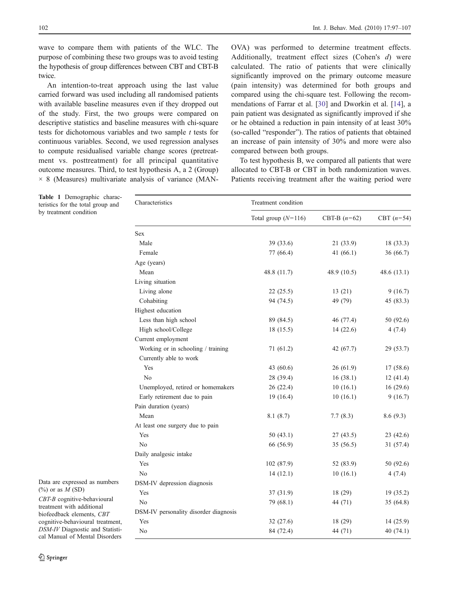102 Int. J. Behav. Med. (2010) 17:97–107

wave to compare them with patients of the WLC. The purpose of combining these two groups was to avoid testing the hypothesis of group differences between CBT and CBT-B twice.

An intention-to-treat approach using the last value carried forward was used including all randomised patients with available baseline measures even if they dropped out of the study. First, the two groups were compared on descriptive statistics and baseline measures with chi-square tests for dichotomous variables and two sample  $t$  tests for continuous variables. Second, we used regression analyses to compute residualised variable change scores (pretreatment vs. posttreatment) for all principal quantitative outcome measures. Third, to test hypothesis A, a 2 (Group)  $\times$  8 (Measures) multivariate analysis of variance (MAN- OVA) was performed to determine treatment effects. Additionally, treatment effect sizes (Cohen's d) were calculated. The ratio of patients that were clinically significantly improved on the primary outcome measure (pain intensity) was determined for both groups and compared using the chi-square test. Following the recommendations of Farrar et al. [30] and Dworkin et al. [14], a pain patient was designated as significantly improved if she or he obtained a reduction in pain intensity of at least 30% (so-called "responder"). The ratios of patients that obtained an increase of pain intensity of 30% and more were also compared between both groups.

To test hypothesis B, we compared all patients that were allocated to CBT-B or CBT in both randomization waves. Patients receiving treatment after the waiting period were

| Characteristics                       | Treatment condition   |                |              |  |  |  |  |
|---------------------------------------|-----------------------|----------------|--------------|--|--|--|--|
|                                       | Total group $(N=116)$ | CBT-B $(n=62)$ | CBT $(n=54)$ |  |  |  |  |
| <b>Sex</b>                            |                       |                |              |  |  |  |  |
| Male                                  | 39 (33.6)             | 21 (33.9)      | 18(33.3)     |  |  |  |  |
| Female                                | 77 (66.4)             | 41 $(66.1)$    | 36 (66.7)    |  |  |  |  |
| Age (years)                           |                       |                |              |  |  |  |  |
| Mean                                  | 48.8 (11.7)           | 48.9 (10.5)    | 48.6(13.1)   |  |  |  |  |
| Living situation                      |                       |                |              |  |  |  |  |
| Living alone                          | 22(25.5)              | 13(21)         | 9(16.7)      |  |  |  |  |
| Cohabiting                            | 94 (74.5)             | 49 (79)        | 45 (83.3)    |  |  |  |  |
| Highest education                     |                       |                |              |  |  |  |  |
| Less than high school                 | 89 (84.5)             | 46 (77.4)      | 50 (92.6)    |  |  |  |  |
| High school/College                   | 18(15.5)              | 14(22.6)       | 4(7.4)       |  |  |  |  |
| Current employment                    |                       |                |              |  |  |  |  |
| Working or in schooling / training    | 71 (61.2)             | 42 (67.7)      | 29 (53.7)    |  |  |  |  |
| Currently able to work                |                       |                |              |  |  |  |  |
| Yes                                   | 43 (60.6)             | 26 (61.9)      | 17 (58.6)    |  |  |  |  |
| N <sub>0</sub>                        | 28 (39.4)             | 16(38.1)       | 12(41.4)     |  |  |  |  |
| Unemployed, retired or homemakers     | 26(22.4)              | 10(16.1)       | 16(29.6)     |  |  |  |  |
| Early retirement due to pain          | 19(16.4)              | 10(16.1)       | 9(16.7)      |  |  |  |  |
| Pain duration (years)                 |                       |                |              |  |  |  |  |
| Mean                                  | 8.1(8.7)              | 7.7(8.3)       | 8.6(9.3)     |  |  |  |  |
| At least one surgery due to pain      |                       |                |              |  |  |  |  |
| Yes                                   | 50 $(43.1)$           | 27(43.5)       | 23(42.6)     |  |  |  |  |
| N <sub>0</sub>                        | 66 (56.9)             | 35(56.5)       | 31(57.4)     |  |  |  |  |
| Daily analgesic intake                |                       |                |              |  |  |  |  |
| Yes                                   | 102 (87.9)            | 52 (83.9)      | 50 (92.6)    |  |  |  |  |
| N <sub>0</sub>                        | 14(12.1)              | 10(16.1)       | 4(7.4)       |  |  |  |  |
| DSM-IV depression diagnosis           |                       |                |              |  |  |  |  |
| Yes                                   | 37 (31.9)             | 18 (29)        | 19(35.2)     |  |  |  |  |
| N <sub>0</sub>                        | 79 (68.1)             | 44 (71)        | 35(64.8)     |  |  |  |  |
| DSM-IV personality disorder diagnosis |                       |                |              |  |  |  |  |
| Yes                                   | 32(27.6)              | 18 (29)        | 14(25.9)     |  |  |  |  |
| No                                    | 84 (72.4)             | 44 (71)        | 40(74.1)     |  |  |  |  |

Table 1 Demographic characteristics for the total group and by treatment condition

Data are expressed as numbers

CBT-B cognitive-behavioural treatment with additional biofeedback elements, CBT cognitive-behavioural treatment, DSM-IV Diagnostic and Statistical Manual of Mental Disorders

 $(\%)$  or as  $M(SD)$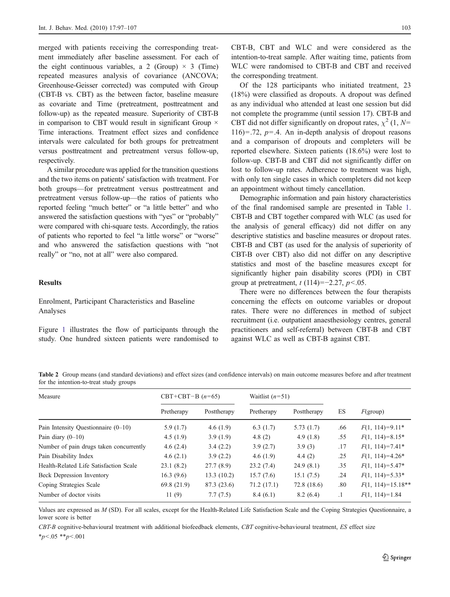merged with patients receiving the corresponding treatment immediately after baseline assessment. For each of the eight continuous variables, a 2 (Group)  $\times$  3 (Time) repeated measures analysis of covariance (ANCOVA; Greenhouse-Geisser corrected) was computed with Group (CBT-B vs. CBT) as the between factor, baseline measure as covariate and Time (pretreatment, posttreatment and follow-up) as the repeated measure. Superiority of CBT-B in comparison to CBT would result in significant Group  $\times$ Time interactions. Treatment effect sizes and confidence intervals were calculated for both groups for pretreatment versus posttreatment and pretreatment versus follow-up, respectively.

A similar procedure was applied for the transition questions and the two items on patients' satisfaction with treatment. For both groups—for pretreatment versus posttreatment and pretreatment versus follow-up—the ratios of patients who reported feeling "much better" or "a little better" and who answered the satisfaction questions with "yes" or "probably" were compared with chi-square tests. Accordingly, the ratios of patients who reported to feel "a little worse" or "worse" and who answered the satisfaction questions with "not really" or "no, not at all" were also compared.

## Results

Enrolment, Participant Characteristics and Baseline Analyses

Figure 1 illustrates the flow of participants through the study. One hundred sixteen patients were randomised to CBT-B, CBT and WLC and were considered as the intention-to-treat sample. After waiting time, patients from WLC were randomised to CBT-B and CBT and received the corresponding treatment.

Of the 128 participants who initiated treatment, 23 (18%) were classified as dropouts. A dropout was defined as any individual who attended at least one session but did not complete the programme (until session 17). CBT-B and CBT did not differ significantly on dropout rates,  $\chi^2$  (1, N= 116)=.72,  $p=0.4$ . An in-depth analysis of dropout reasons and a comparison of dropouts and completers will be reported elsewhere. Sixteen patients (18.6%) were lost to follow-up. CBT-B and CBT did not significantly differ on lost to follow-up rates. Adherence to treatment was high, with only ten single cases in which completers did not keep an appointment without timely cancellation.

Demographic information and pain history characteristics of the final randomised sample are presented in Table 1. CBT-B and CBT together compared with WLC (as used for the analysis of general efficacy) did not differ on any descriptive statistics and baseline measures or dropout rates. CBT-B and CBT (as used for the analysis of superiority of CBT-B over CBT) also did not differ on any descriptive statistics and most of the baseline measures except for significantly higher pain disability scores (PDI) in CBT group at pretreatment,  $t(114)=-2.27, p<0.05$ .

There were no differences between the four therapists concerning the effects on outcome variables or dropout rates. There were no differences in method of subject recruitment (i.e. outpatient anaesthesiology centres, general practitioners and self-referral) between CBT-B and CBT against WLC as well as CBT-B against CBT.

Table 2 Group means (and standard deviations) and effect sizes (and confidence intervals) on main outcome measures before and after treatment for the intention-to-treat study groups

| Measure                                 | $CBT+CBT-B(n=65)$ |             | Waitlist $(n=51)$ |             |           |                     |
|-----------------------------------------|-------------------|-------------|-------------------|-------------|-----------|---------------------|
|                                         | Pretherapy        | Posttherapy | Pretherapy        | Posttherapy | ES        | $F(\text{group})$   |
| Pain Intensity Questionnaire $(0-10)$   | 5.9(1.7)          | 4.6 $(1.9)$ | 6.3(1.7)          | 5.73(1.7)   | .66       | $F(1, 114)=9.11*$   |
| Pain diary $(0-10)$                     | 4.5(1.9)          | 3.9(1.9)    | 4.8 $(2)$         | 4.9(1.8)    | .55       | $F(1, 114)=8.15*$   |
| Number of pain drugs taken concurrently | 4.6(2.4)          | 3.4(2.2)    | 3.9(2.7)          | 3.9(3)      | .17       | $F(1, 114)=7.41*$   |
| Pain Disability Index                   | 4.6(2.1)          | 3.9(2.2)    | 4.6(1.9)          | 4.4 $(2)$   | .25       | $F(1, 114)=4.26*$   |
| Health-Related Life Satisfaction Scale  | 23.1(8.2)         | 27.7(8.9)   | 23.2(7.4)         | 24.9(8.1)   | .35       | $F(1, 114)=5.47*$   |
| Beck Depression Inventory               | 16.3(9.6)         | 13.3(10.2)  | 15.7(7.6)         | 15.1(7.5)   | .24       | $F(1, 114)=5.33*$   |
| Coping Strategies Scale                 | 69.8 (21.9)       | 87.3 (23.6) | 71.2 (17.1)       | 72.8(18.6)  | .80       | $F(1, 114)=15.18**$ |
| Number of doctor visits                 | 11(9)             | 7.7(7.5)    | 8.4(6.1)          | 8.2(6.4)    | $\cdot$ 1 | $F(1, 114)=1.84$    |

Values are expressed as M (SD). For all scales, except for the Health-Related Life Satisfaction Scale and the Coping Strategies Questionnaire, a lower score is better

CBT-B cognitive-behavioural treatment with additional biofeedback elements, CBT cognitive-behavioural treatment, ES effect size

 $*_{p<.05}$   $*_{p<.001}$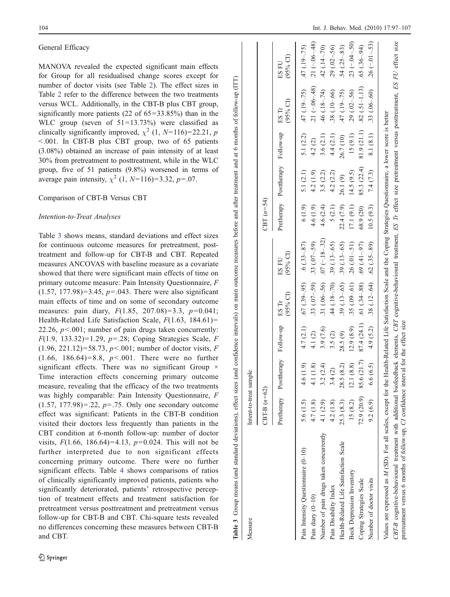#### General Efficacy

MANOVA revealed the expected significant main effects for Group for all residualised change scores except for number of doctor visits (see Table 2). The effect sizes in Table 2 refer to the difference between the two treatments versus WCL. Additionally, in the CBT-B plus CBT group, significantly more patients (22 of 65=33.85%) than in the WLC group (seven of  $51=13.73\%$ ) were classified as clinically significantly improved,  $\chi^2$  (1, N=116)=22.21, p <.001. In CBT-B plus CBT group, two of 65 patients (3.08%) obtained an increase of pain intensity of at least 30% from pretreatment to posttreatment, while in the WLC group, five of 51 patients (9.8%) worsened in terms of average pain intensity,  $\chi^2$  (1, N=116)=3.32, p=.07.

Comparison of CBT-B Versus CBT

#### Intention-to-Treat Analyses

Table 3 shows means, standard deviations and effect sizes for continuous outcome measures for pretreatment, posttreatment and follow-up for CBT-B and CBT. Repeated measures ANCOVAS with baseline measure as a covariate showed that there were significant main effects of time on primary outcome measure: Pain Intensity Questionnaire, F  $(1.57, 177.98)=3.45, p=.043$ . There were also significant main effects of time and on some of secondary outcome measures: pain diary,  $F(1.85, 207.08)=3.3, p=0.041;$ Health-Related Life Satisfaction Scale,  $F(1.63, 184.61)$ = 22.26,  $p<.001$ ; number of pain drugs taken concurrently:  $F(1.9, 133.32)=1.29, p=.28$ ; Coping Strategies Scale, F  $(1.96, 221.12)=58.73, p<0.01$ ; number of doctor visits, F  $(1.66, 186.64)=8.8, p<0.01$ . There were no further significant effects. There was no significant Group  $\times$ Time interaction effects concerning primary outcome measure, revealing that the efficacy of the two treatments was highly comparable: Pain Intensity Questionnaire, F  $(1.57, 177.98) = 0.22$ ,  $p = 0.75$ . Only one secondary outcome effect was significant: Patients in the CBT-B condition visited their doctors less frequently than patients in the CBT condition at 6-month follow-up: number of doctor visits,  $F(1.66, 186.64)=4.13$ ,  $p=0.024$ . This will not be further interpreted due to non significant effects concerning primary outcome. There were no further significant effects. Table 4 shows comparisons of ratios of clinically significantly improved patients, patients who significantly deteriorated, patients' retrospective perception of treatment effects and treatment satisfaction for pretreatment versus posttreatment and pretreatment versus follow-up for CBT-B and CBT. Chi-square tests revealed no differences concerning these measures between CBT-B and CBT.

| Pretherapy Posttherapy Follow-up<br>81.9 (21.1)<br>5.1 $(2.2)$<br>3.6(2.1)<br>15(9.1)<br>4.4 (2.1)<br>26.7 (10)<br>4.2(2)<br>85.3 (22.4)<br>7.4(7.3)<br>5.1 (2.1)<br>14.5(9.5)<br>4.2 (1.9)<br>3.5(2.2)<br>4.2 (2.2)<br>26.1 (9)<br>CBT $(n=54)$<br>10.5(9.3)<br>(1.9)<br>4.6 (1.9)<br>4.6 (2.4)<br>5(2.1)<br>22.4 (7.9)<br>17.1(9.1)<br>68.9 (20)<br>$.31(.06-.56)$ $.07(-.18-.32)$<br>$.38(.12 - .64)$ $.62(.35 - .89)$<br>$.33$ (.07–.59) $.33$ (.07–.59)<br>$.44(.18-.70)$ $.39(.13-.65)$<br>$.39(.13 - .65)$ $.39(.13 - .65)$<br>$.35(09 - 61)$ $.26(01 - 51)$<br>61 $(.34 - .88)$ $.69$ $(.41 - .97)$<br>$(57 \ (-39 - 95) \ (-33 - 87)$<br>$(95%$ CI)<br>ES FU<br>(95% CI)<br>ES Tr<br>Pretherapy Posttherapy Follow-up<br>4.7(2.1)<br>87.4 (24.1)<br>4.9(5.2)<br>3.9 (7.6)<br>12.9(8.9)<br>4.1(2)<br>3.5(2)<br>28.5(9)<br>$72.9(20.9)$ 85.6 $(21.7)$<br>6.6(6.5)<br>(8.8)<br>4.6 (1.9)<br>(1.8)<br>3.2(2.4)<br>(8.2)<br>3.4(2)<br>28.5<br>12.1<br>$\frac{1}{4}$<br>CBT-B $(n=62)$<br>9.2(6.9)<br>5.6 (1.5)<br>15 (8.2)<br>4.7 (1.8)<br>4.1 (2.9)<br>25.3 (8.3)<br>4.2(1.8)<br>Number of pain drugs taken concurrently<br>Health-Related Life Satisfaction Scale<br>Pain Intensity Questionnaire (0-10)<br><b>Beck Depression Inventory</b><br>Coping Strategies Scale<br>Number of doctor visits<br>Pain Disability Index<br>Pain diary (0-10) | Measure | Intent-to-treat sample |  |  |  |                                 |                     |
|--------------------------------------------------------------------------------------------------------------------------------------------------------------------------------------------------------------------------------------------------------------------------------------------------------------------------------------------------------------------------------------------------------------------------------------------------------------------------------------------------------------------------------------------------------------------------------------------------------------------------------------------------------------------------------------------------------------------------------------------------------------------------------------------------------------------------------------------------------------------------------------------------------------------------------------------------------------------------------------------------------------------------------------------------------------------------------------------------------------------------------------------------------------------------------------------------------------------------------------------------------------------------------------------------------------------------------------------------------|---------|------------------------|--|--|--|---------------------------------|---------------------|
|                                                                                                                                                                                                                                                                                                                                                                                                                                                                                                                                                                                                                                                                                                                                                                                                                                                                                                                                                                                                                                                                                                                                                                                                                                                                                                                                                        |         |                        |  |  |  |                                 |                     |
|                                                                                                                                                                                                                                                                                                                                                                                                                                                                                                                                                                                                                                                                                                                                                                                                                                                                                                                                                                                                                                                                                                                                                                                                                                                                                                                                                        |         |                        |  |  |  | $(95%$ CI)<br>ES Tr             | $(95%$ CI)<br>ES FU |
|                                                                                                                                                                                                                                                                                                                                                                                                                                                                                                                                                                                                                                                                                                                                                                                                                                                                                                                                                                                                                                                                                                                                                                                                                                                                                                                                                        |         |                        |  |  |  | $.47(.19 - .75)$                | $.47(.19 - .75)$    |
|                                                                                                                                                                                                                                                                                                                                                                                                                                                                                                                                                                                                                                                                                                                                                                                                                                                                                                                                                                                                                                                                                                                                                                                                                                                                                                                                                        |         |                        |  |  |  | .21 $(-.06-48)$ .21 $(-.06-48)$ |                     |
|                                                                                                                                                                                                                                                                                                                                                                                                                                                                                                                                                                                                                                                                                                                                                                                                                                                                                                                                                                                                                                                                                                                                                                                                                                                                                                                                                        |         |                        |  |  |  | $.46(.18-.74)$                  | $.42(.14 - 70)$     |
|                                                                                                                                                                                                                                                                                                                                                                                                                                                                                                                                                                                                                                                                                                                                                                                                                                                                                                                                                                                                                                                                                                                                                                                                                                                                                                                                                        |         |                        |  |  |  | $.38(.10 - .66)$                | $.29(02 - 56)$      |
|                                                                                                                                                                                                                                                                                                                                                                                                                                                                                                                                                                                                                                                                                                                                                                                                                                                                                                                                                                                                                                                                                                                                                                                                                                                                                                                                                        |         |                        |  |  |  | $.47(.19 - .75)$                | $54(.25 - .83)$     |
|                                                                                                                                                                                                                                                                                                                                                                                                                                                                                                                                                                                                                                                                                                                                                                                                                                                                                                                                                                                                                                                                                                                                                                                                                                                                                                                                                        |         |                        |  |  |  | $.29(.02 - 56)$                 | $.23 (-.04 - 50)$   |
|                                                                                                                                                                                                                                                                                                                                                                                                                                                                                                                                                                                                                                                                                                                                                                                                                                                                                                                                                                                                                                                                                                                                                                                                                                                                                                                                                        |         |                        |  |  |  | $.82(.51 - 1.13)$               | $.65(.36-.94)$      |
|                                                                                                                                                                                                                                                                                                                                                                                                                                                                                                                                                                                                                                                                                                                                                                                                                                                                                                                                                                                                                                                                                                                                                                                                                                                                                                                                                        |         |                        |  |  |  | $8.1(8.1)$ .33 (.06-.60)        | $.26$ (-0.1-53)     |
| Values are expressed as M (SD). For all scales, except for the Health-Related Life Satisfaction Scale and the Coping Strategies Questionnaire, a lower score is better                                                                                                                                                                                                                                                                                                                                                                                                                                                                                                                                                                                                                                                                                                                                                                                                                                                                                                                                                                                                                                                                                                                                                                                 |         |                        |  |  |  |                                 |                     |

Table 3 Group means (and standard deviations), effect sizes (and confidence intervals) on main outcome measures before and after treatment and at 6 months of follow-up (ITT)

intervals) on

confidence

means (and standard deviations), effect sizes (and

Group  $\ddot{\phantom{0}}$ Table .

main

outcome

 $(TT)$ 

6 months of follow-up

 $\ddot{a}$ and:

measures before and after treatment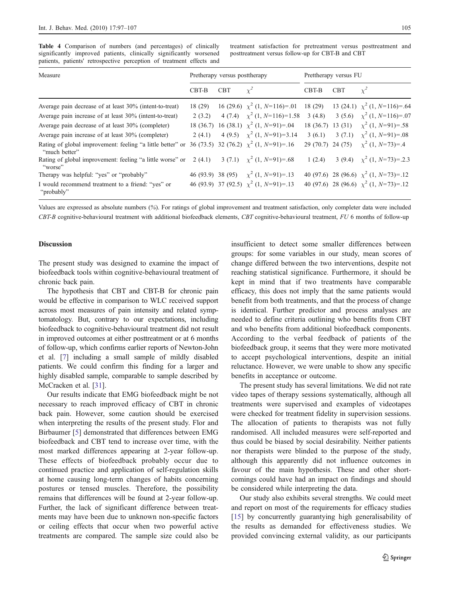patients, patients' retrospective perception of treatment effects and Table 4 Comparison of numbers (and percentages) of clinically

Table 4 Comparison of numbers (and percentages) of clinically treatment satisfaction for pretreatment versus posttreatment and significantly improved patients, clinically significantly worsened posttreatment versus follow-up for CBT-B and CBT posttreatment versus follow-up for CBT-B and CBT

| Measure                                                                     | Pretherapy versus posttherapy |            |                                            | Prettherapy versus FU |            |                                            |
|-----------------------------------------------------------------------------|-------------------------------|------------|--------------------------------------------|-----------------------|------------|--------------------------------------------|
|                                                                             | CBT-B                         | <b>CBT</b> | $\chi^2$                                   | CBT-B                 | <b>CBT</b> | $\chi^2$                                   |
| Average pain decrease of at least 30% (intent-to-treat)                     | 18(29)                        |            | 16 (29.6) $\chi^2$ (1, N=116)=.01          |                       |            | 18 (29) 13 (24.1) $\chi^2$ (1, N=116)=.64  |
| Average pain increase of at least 30% (intent-to-treat)                     | 2(3.2)                        |            | 4 (7.4) $\chi^2$ (1, N=116)=1.58           | 3(4.8)                |            | 3 (5.6) $\chi^2$ (1, N=116)=.07            |
| Average pain decrease of at least 30% (completer)                           |                               |            | 18 (36.7) 16 (38.1) $\chi^2$ (1, N=91)=.04 |                       |            | 18 (36.7) 13 (31) $\chi^2$ (1, N=91)=.58   |
| Average pain increase of at least 30% (completer)                           | 2(4.1)                        |            | 4 (9.5) $\chi^2$ (1, N=91)=3.14            | 3(6.1)                |            | 3 (7.1) $\chi^2$ (1, N=91)=.08             |
| Rating of global improvement: feeling "a little better" or<br>"much better" |                               |            | 36 (73.5) 32 (76.2) $\chi^2$ (1, N=91)=.16 |                       |            | 29 (70.7) 24 (75) $\chi^2$ (1, N=73)=.4    |
| Rating of global improvement: feeling "a little worse" or<br>"worse"        |                               |            | 2 (4.1) 3 (7.1) $\chi^2$ (1, N=91)=.68     |                       |            | 1 (2.4) 3 (9.4) $\chi^2$ (1, N=73)=.2.3    |
| Therapy was helpful: "yes" or "probably"                                    |                               |            | 46 (93.9) 38 (95) $\chi^2$ (1, N=91)=.13   |                       |            | 40 (97.6) 28 (96.6) $\chi^2$ (1, N=73)=.12 |
| I would recommend treatment to a friend: "yes" or<br>"probably"             |                               |            | 46 (93.9) 37 (92.5) $\chi^2$ (1, N=91)=.13 |                       |            | 40 (97.6) 28 (96.6) $\chi^2$ (1, N=73)=.12 |

Values are expressed as absolute numbers (%). For ratings of global improvement and treatment satisfaction, only completer data were included  $CBT-B$  cognitive-behavioural treatment with additional biofeedback elements,  $CBT$  cognitive-behavioural treatment,  $FU$  6 months of follow-up

#### **Discussion**

The present study was designed to examine the impact of biofeedback tools within cognitive-behavioural treatment of chronic back pain.

The hypothesis that CBT and CBT-B for chronic pain would be effective in comparison to WLC received support across most measures of pain intensity and related symptomatology. But, contrary to our expectations, including biofeedback to cognitive-behavioural treatment did not result in improved outcomes at either posttreatment or at 6 months of follow-up, which confirms earlier reports of Newton-John et al. [7] including a small sample of mildly disabled patients. We could confirm this finding for a larger and highly disabled sample, comparable to sample described by McCracken et al. [31].

Our results indicate that EMG biofeedback might be not necessary to reach improved efficacy of CBT in chronic back pain. However, some caution should be exercised when interpreting the results of the present study. Flor and Birbaumer [5] demonstrated that differences between EMG biofeedback and CBT tend to increase over time, with the most marked differences appearing at 2-year follow-up. These effects of biofeedback probably occur due to continued practice and application of self-regulation skills at home causing long-term changes of habits concerning postures or tensed muscles. Therefore, the possibility remains that differences will be found at 2-year follow-up. Further, the lack of significant difference between treatments may have been due to unknown non-specific factors or ceiling effects that occur when two powerful active treatments are compared. The sample size could also be insufficient to detect some smaller differences between groups: for some variables in our study, mean scores of change differed between the two interventions, despite not reaching statistical significance. Furthermore, it should be kept in mind that if two treatments have comparable efficacy, this does not imply that the same patients would benefit from both treatments, and that the process of change is identical. Further predictor and process analyses are needed to define criteria outlining who benefits from CBT and who benefits from additional biofeedback components. According to the verbal feedback of patients of the biofeedback group, it seems that they were more motivated to accept psychological interventions, despite an initial reluctance. However, we were unable to show any specific benefits in acceptance or outcome.

The present study has several limitations. We did not rate video tapes of therapy sessions systematically, although all treatments were supervised and examples of videotapes were checked for treatment fidelity in supervision sessions. The allocation of patients to therapists was not fully randomised. All included measures were self-reported and thus could be biased by social desirability. Neither patients nor therapists were blinded to the purpose of the study, although this apparently did not influence outcomes in favour of the main hypothesis. These and other shortcomings could have had an impact on findings and should be considered while interpreting the data.

Our study also exhibits several strengths. We could meet and report on most of the requirements for efficacy studies [15] by concurrently guarantying high generalisability of the results as demanded for effectiveness studies. We provided convincing external validity, as our participants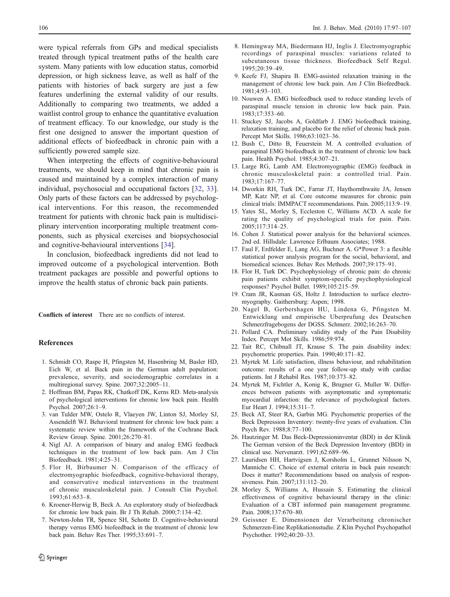were typical referrals from GPs and medical specialists treated through typical treatment paths of the health care system. Many patients with low education status, comorbid depression, or high sickness leave, as well as half of the patients with histories of back surgery are just a few features underlining the external validity of our results. Additionally to comparing two treatments, we added a waitlist control group to enhance the quantitative evaluation of treatment efficacy. To our knowledge, our study is the first one designed to answer the important question of additional effects of biofeedback in chronic pain with a sufficiently powered sample size.

When interpreting the effects of cognitive-behavioural treatments, we should keep in mind that chronic pain is caused and maintained by a complex interaction of many individual, psychosocial and occupational factors [32, 33]. Only parts of these factors can be addressed by psychological interventions. For this reason, the recommended treatment for patients with chronic back pain is multidisciplinary intervention incorporating multiple treatment components, such as physical exercises and biopsychosocial and cognitive-behavioural interventions [34].

In conclusion, biofeedback ingredients did not lead to improved outcome of a psychological intervention. Both treatment packages are possible and powerful options to improve the health status of chronic back pain patients.

Conflicts of interest There are no conflicts of interest.

# References

- 1. Schmidt CO, Raspe H, Pfingsten M, Hasenbring M, Basler HD, Eich W, et al. Back pain in the German adult population: prevalence, severity, and sociodemographic correlates in a multiregional survey. Spine. 2007;32:2005–11.
- 2. Hoffman BM, Papas RK, Chatkoff DK, Kerns RD. Meta-analysis of psychological interventions for chronic low back pain. Health Psychol. 2007;26:1–9.
- 3. van Tulder MW, Ostelo R, Vlaeyen JW, Linton SJ, Morley SJ, Assendelft WJ. Behavioral treatment for chronic low back pain: a systematic review within the framework of the Cochrane Back Review Group. Spine. 2001;26:270–81.
- 4. Nigl AJ. A comparison of binary and analog EMG feedback techniques in the treatment of low back pain. Am J Clin Biofeedback. 1981;4:25–31.
- 5. Flor H, Birbaumer N. Comparison of the efficacy of electromyographic biofeedback, cognitive-behavioral therapy, and conservative medical interventions in the treatment of chronic musculoskeletal pain. J Consult Clin Psychol. 1993;61:653–8.
- 6. Kroener-Herwig B, Beck A. An exploratory study of biofeedback for chronic low back pain. Br J Th Rehab. 2000;7:134–42.
- 7. Newton-John TR, Spence SH, Schotte D. Cognitive-behavioural therapy versus EMG biofeedback in the treatment of chronic low back pain. Behav Res Ther. 1995;33:691–7.
- 8. Hemingway MA, Biedermann HJ, Inglis J. Electromyographic recordings of paraspinal muscles: variations related to subcutaneous tissue thickness. Biofeedback Self Regul. 1995;20:39–49.
- 9. Keefe FJ, Shapira B. EMG-assisted relaxation training in the management of chronic low back pain. Am J Clin Biofeedback. 1981;4:93–103.
- 10. Nouwen A. EMG biofeedback used to reduce standing levels of paraspinal muscle tension in chronic low back pain. Pain. 1983;17:353–60.
- 11. Stuckey SJ, Jacobs A, Goldfarb J. EMG biofeedback training, relaxation training, and placebo for the relief of chronic back pain. Percept Mot Skills. 1986;63:1023–36.
- 12. Bush C, Ditto B, Feuerstein M. A controlled evaluation of paraspinal EMG biofeedback in the treatment of chronic low back pain. Health Psychol. 1985;4:307–21.
- 13. Large RG, Lamb AM. Electromyographic (EMG) feedback in chronic musculoskeletal pain: a controlled trial. Pain. 1983;17:167–77.
- 14. Dworkin RH, Turk DC, Farrar JT, Haythornthwaite JA, Jensen MP, Katz NP, et al. Core outcome measures for chronic pain clinical trials: IMMPACT recommendations. Pain. 2005;113:9–19.
- 15. Yates SL, Morley S, Eccleston C, Williams ACD. A scale for rating the quality of psychological trials for pain. Pain. 2005;117:314–25.
- 16. Cohen J. Statistical power analysis for the behavioral sciences. 2nd ed. Hillsdale: Lawrence Erlbaum Associates; 1988.
- 17. Faul F, Erdfelder E, Lang AG, Buchner A. G\*Power 3: a flexible statistical power analysis program for the social, behavioral, and biomedical sciences. Behav Res Methods. 2007;39:175–91.
- 18. Flor H, Turk DC. Psychophysiology of chronic pain: do chronic pain patients exhibit symptom-specific psychophysiological responses? Psychol Bullet. 1989;105:215–59.
- 19. Cram JR, Kasman GS, Holtz J. Introduction to surface electromyography. Gaithersburg: Aspen; 1998.
- 20. Nagel B, Gerbershagen HU, Lindena G, Pfingsten M. Entwicklung und empirische Uberprufung des Deutschen Schmerzfragebogens der DGSS. Schmerz. 2002;16:263–70.
- 21. Pollard CA. Preliminary validity study of the Pain Disability Index. Percept Mot Skills. 1986;59:974.
- 22. Tait RC, Chibnall JT, Krause S. The pain disability index: psychometric properties. Pain. 1990;40:171–82.
- 23. Myrtek M. Life satisfaction, illness behaviour, and rehabilitation outcome: results of a one year follow-up study with cardiac patients. Int J Rehabil Res. 1987;10:373–82.
- 24. Myrtek M, Fichtler A, Konig K, Brugner G, Muller W. Differences between patients with asymptomatic and symptomatic myocardial infarction: the relevance of psychological factors. Eur Heart J. 1994;15:311–7.
- 25. Beck AT, Steer RA, Garbin MG. Psychometric properties of the Beck Depression Inventory: twenty-five years of evaluation. Clin Psych Rev. 1988;8:77–100.
- 26. Hautzinger M. Das Beck-Depressioninventar (BDI) in der Klinik The German version of the Beck Depression Inventory (BDI) in clinical use. Nervenarzt. 1991;62:689–96.
- 27. Lauridsen HH, Hartvigsen J, Korsholm L, Grunnet Nilsson N, Manniche C. Choice of external criteria in back pain research: Does it matter? Recommendations based on analysis of responsiveness. Pain. 2007;131:112–20.
- 28. Morley S, Williams A, Hussain S. Estimating the clinical effectiveness of cognitive behavioural therapy in the clinic: Evaluation of a CBT informed pain management programme. Pain. 2008;137:670–80.
- 29. Geissner E. Dimensionen der Verarbeitung chronischer Schmerzen-Eine Replikationsstudie. Z Klin Psychol Psychopathol Psychother. 1992;40:20–33.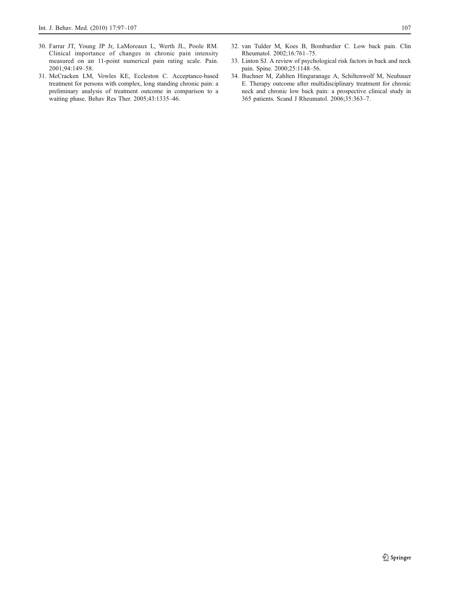- 30. Farrar JT, Young JP Jr, LaMoreaux L, Werth JL, Poole RM. Clinical importance of changes in chronic pain intensity measured on an 11-point numerical pain rating scale. Pain. 2001;94:149–58.
- 31. McCracken LM, Vowles KE, Eccleston C. Acceptance-based treatment for persons with complex, long standing chronic pain: a preliminary analysis of treatment outcome in comparison to a waiting phase. Behav Res Ther. 2005;43:1335–46.
- 32. van Tulder M, Koes B, Bombardier C. Low back pain. Clin Rheumatol. 2002;16:761–75.
- 33. Linton SJ. A review of psychological risk factors in back and neck pain. Spine. 2000;25:1148–56.
- 34. Buchner M, Zahlten Hinguranage A, Schiltenwolf M, Neubauer E. Therapy outcome after multidisciplinary treatment for chronic neck and chronic low back pain: a prospective clinical study in 365 patients. Scand J Rheumatol. 2006;35:363–7.